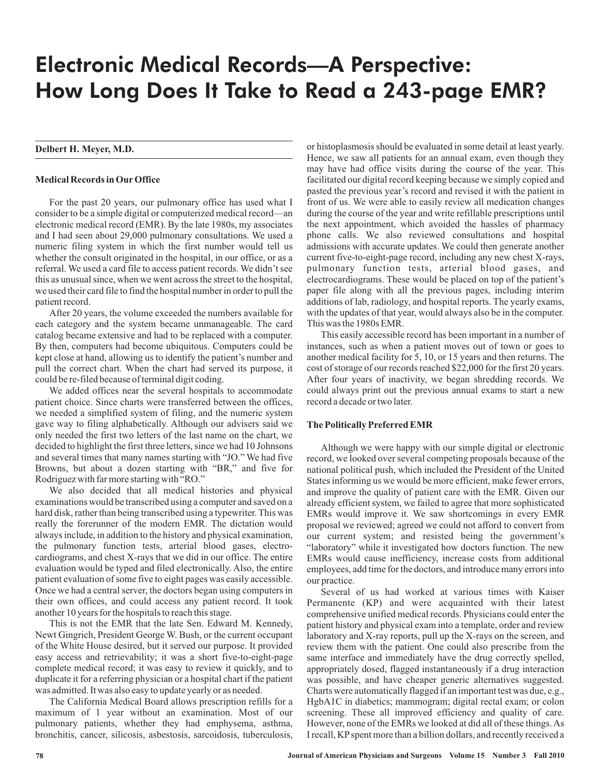# Electronic Medical Records—A Perspective: How Long Does It Take to Read a 243-page EMR?

## **Delbert H. Meyer, M.D.**

#### **Medical Records in Our Office**

For the past 20 years, our pulmonary office has used what I consider to be a simple digital or computerized medical record—an electronic medical record (EMR). By the late 1980s, my associates and I had seen about 29,000 pulmonary consultations. We used a numeric filing system in which the first number would tell us whether the consult originated in the hospital, in our office, or as a referral. We used a card file to access patient records. We didn't see this as unusual since, when we went across the street to the hospital, we used their card file to find the hospital number in order to pull the patient record.

After 20 years, the volume exceeded the numbers available for each category and the system became unmanageable. The card catalog became extensive and had to be replaced with a computer. By then, computers had become ubiquitous. Computers could be kept close at hand, allowing us to identify the patient's number and pull the correct chart. When the chart had served its purpose, it could be re-filed because of terminal digit coding.

We added offices near the several hospitals to accommodate patient choice. Since charts were transferred between the offices, we needed a simplified system of filing, and the numeric system gave way to filing alphabetically. Although our advisers said we only needed the first two letters of the last name on the chart, we decided to highlight the first three letters, since we had 10 Johnsons and several times that many names starting with "JO." We had five Browns, but about a dozen starting with "BR," and five for Rodriguez with far more starting with "RO."

We also decided that all medical histories and physical examinations would be transcribed using a computer and saved on a hard disk, rather than being transcribed using a typewriter. This was really the forerunner of the modern EMR. The dictation would always include, in addition to the history and physical examination, the pulmonary function tests, arterial blood gases, electrocardiograms, and chest X-rays that we did in our office. The entire evaluation would be typed and filed electronically. Also, the entire patient evaluation of some five to eight pages was easily accessible. Once we had a central server, the doctors began using computers in their own offices, and could access any patient record. It took another 10 years for the hospitals to reach this stage.

This is not the EMR that the late Sen. Edward M. Kennedy, Newt Gingrich, President George W. Bush, or the current occupant of the White House desired, but it served our purpose. It provided easy access and retrievability; it was a short five-to-eight-page complete medical record; it was easy to review it quickly, and to duplicate it for a referring physician or a hospital chart if the patient was admitted. It was also easy to update yearly or as needed.

The California Medical Board allows prescription refills for a maximum of 1 year without an examination. Most of our pulmonary patients, whether they had emphysema, asthma, bronchitis, cancer, silicosis, asbestosis, sarcoidosis, tuberculosis,

or histoplasmosis should be evaluated in some detail at least yearly. Hence, we saw all patients for an annual exam, even though they may have had office visits during the course of the year. This facilitated our digital record keeping because we simply copied and pasted the previous year's record and revised it with the patient in front of us. We were able to easily review all medication changes during the course of the year and write refillable prescriptions until the next appointment, which avoided the hassles of pharmacy phone calls. We also reviewed consultations and hospital admissions with accurate updates. We could then generate another current five-to-eight-page record, including any new chest X-rays, pulmonary function tests, arterial blood gases, and electrocardiograms. These would be placed on top of the patient's paper file along with all the previous pages, including interim additions of lab, radiology, and hospital reports. The yearly exams, with the updates of that year, would always also be in the computer. This was the 1980s EMR.

This easily accessible record has been important in a number of instances, such as when a patient moves out of town or goes to another medical facility for 5, 10, or 15 years and then returns. The cost of storage of our records reached \$22,000 for the first 20 years. After four years of inactivity, we began shredding records. We could always print out the previous annual exams to start a new record a decade or two later.

## **The Politically Preferred EMR**

Although we were happy with our simple digital or electronic record, we looked over several competing proposals because of the national political push, which included the President of the United States informing us we would be more efficient, make fewer errors, and improve the quality of patient care with the EMR. Given our already efficient system, we failed to agree that more sophisticated EMRs would improve it. We saw shortcomings in every EMR proposal we reviewed; agreed we could not afford to convert from our current system; and resisted being the government's "laboratory" while it investigated how doctors function. The new EMRs would cause inefficiency, increase costs from additional employees, add time for the doctors, and introduce many errors into our practice.

Several of us had worked at various times with Kaiser Permanente (KP) and were acquainted with their latest comprehensive unified medical records. Physicians could enter the patient history and physical exam into a template, order and review laboratory and X-ray reports, pull up the X-rays on the screen, and review them with the patient. One could also prescribe from the same interface and immediately have the drug correctly spelled, appropriately dosed, flagged instantaneously if a drug interaction was possible, and have cheaper generic alternatives suggested. Charts were automatically flagged if an important test was due, e.g., HgbA1C in diabetics; mammogram; digital rectal exam; or colon screening. These all improved efficiency and quality of care. However, none of the EMRs we looked at did all of these things.As I recall, KPspent more than a billion dollars, and recently received a